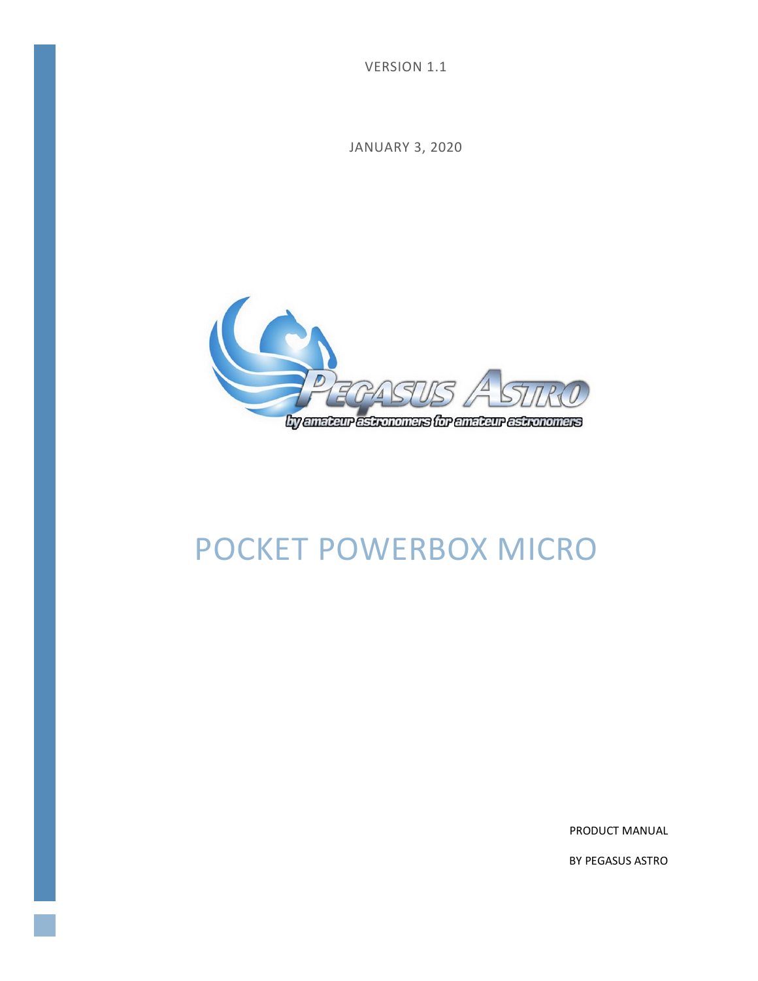VERSION 1.1

JANUARY 3, 2020



# POCKET POWERBOX MICRO

PRODUCT MANUAL

BY PEGASUS ASTRO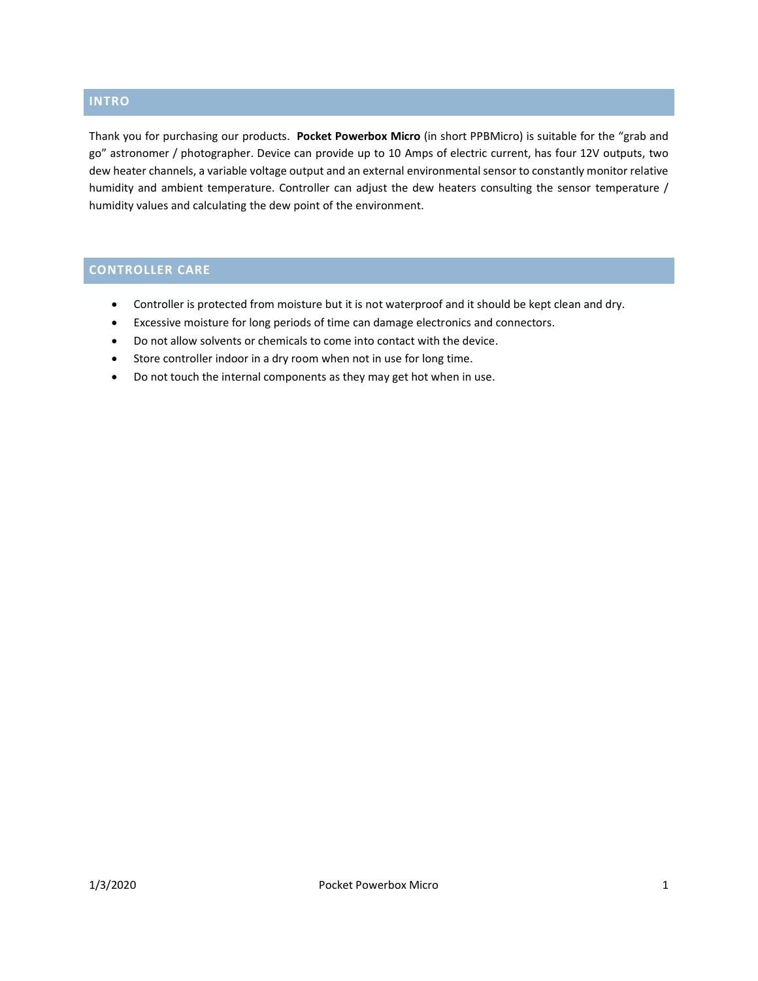#### **INTRO**

Thank you for purchasing our products. **Pocket Powerbox Micro** (in short PPBMicro) is suitable for the "grab and go" astronomer / photographer. Device can provide up to 10 Amps of electric current, has four 12V outputs, two dew heater channels, a variable voltage output and an external environmental sensor to constantly monitor relative humidity and ambient temperature. Controller can adjust the dew heaters consulting the sensor temperature / humidity values and calculating the dew point of the environment.

## **CONTROLLER CARE**

- Controller is protected from moisture but it is not waterproof and it should be kept clean and dry.
- Excessive moisture for long periods of time can damage electronics and connectors.
- Do not allow solvents or chemicals to come into contact with the device.
- Store controller indoor in a dry room when not in use for long time.
- Do not touch the internal components as they may get hot when in use.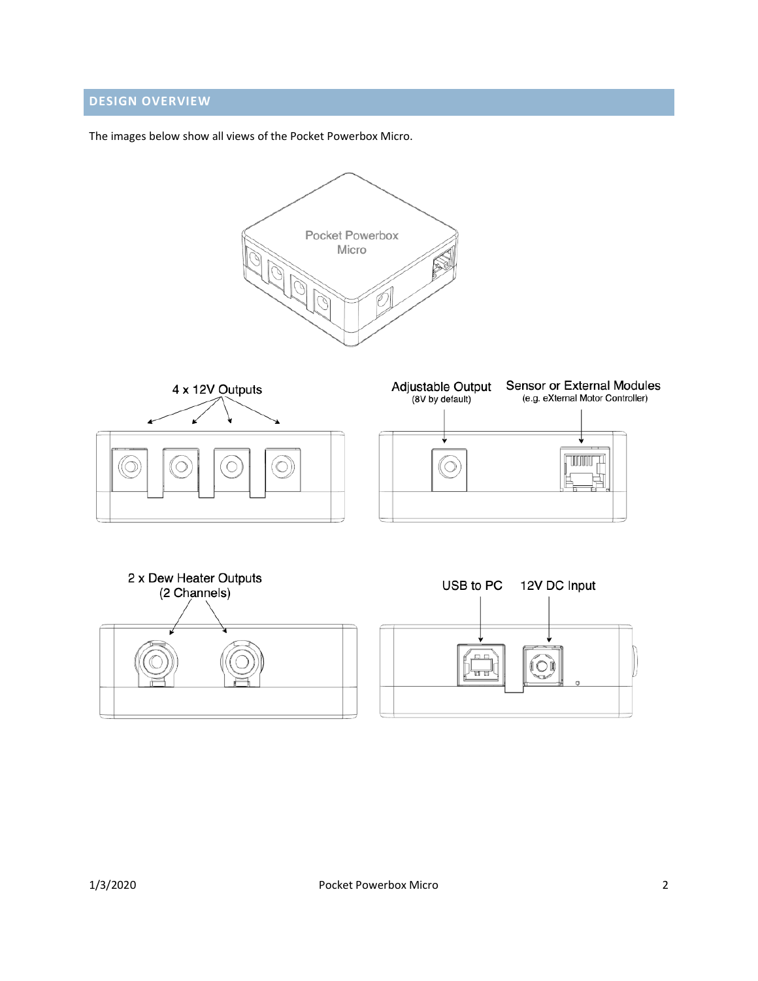## **DESIGN OVERVIEW**

The images below show all views of the Pocket Powerbox Micro.

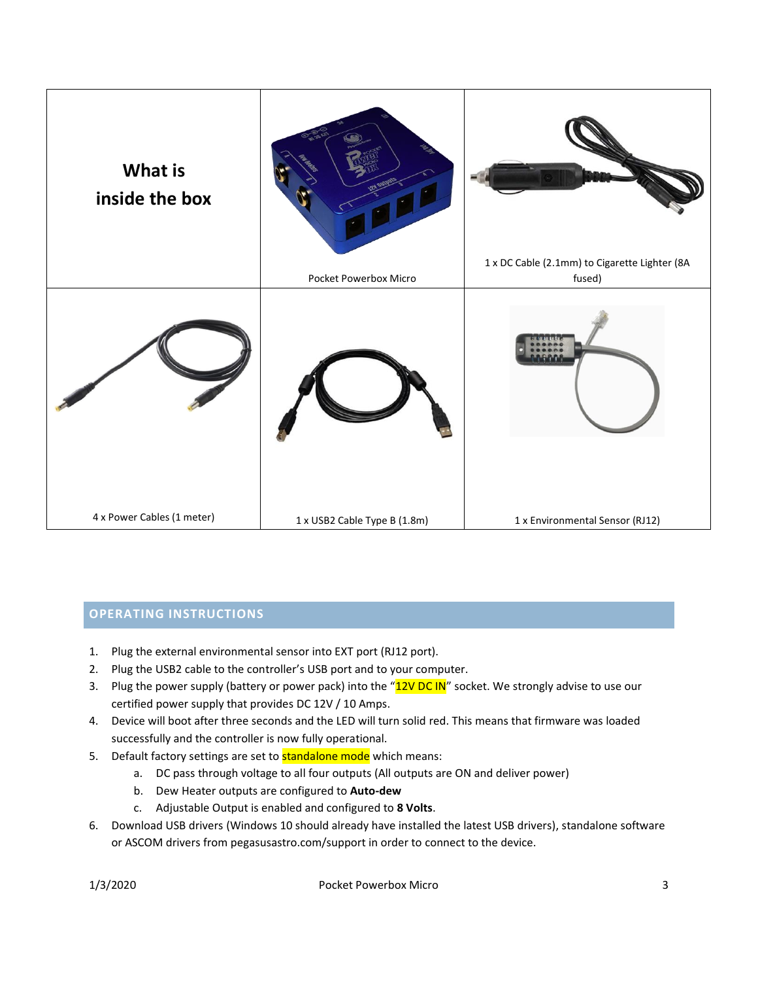

#### **OPERATING INSTRUCTIONS**

- 1. Plug the external environmental sensor into EXT port (RJ12 port).
- 2. Plug the USB2 cable to the controller's USB port and to your computer.
- 3. Plug the power supply (battery or power pack) into the "12V DC IN" socket. We strongly advise to use our certified power supply that provides DC 12V / 10 Amps.
- 4. Device will boot after three seconds and the LED will turn solid red. This means that firmware was loaded successfully and the controller is now fully operational.
- 5. Default factory settings are set to **standalone mode** which means:
	- a. DC pass through voltage to all four outputs (All outputs are ON and deliver power)
	- b. Dew Heater outputs are configured to **Auto-dew**
	- c. Adjustable Output is enabled and configured to **8 Volts**.
- 6. Download USB drivers (Windows 10 should already have installed the latest USB drivers), standalone software or ASCOM drivers fro[m pegasusastro.com/support](http://pegasusastro.com/support) in order to connect to the device.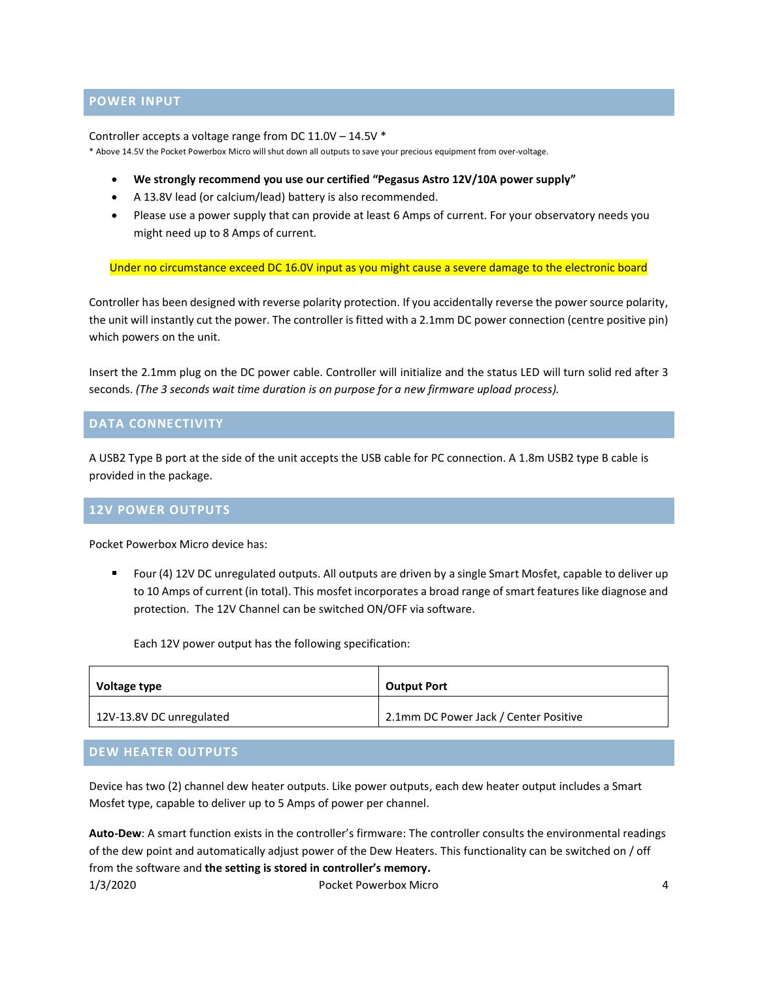#### **POWER INPUT**

Controller accepts a voltage range from DC 11.0V – 14.5V \*

\* Above 14.5V the Pocket Powerbox Micro will shut down all outputs to save your precious equipment from over-voltage.

- **We strongly recommend you use our certified "Pegasus Astro 12V/10A power supply"**
- A 13.8V lead (or calcium/lead) battery is also recommended.
- Please use a power supply that can provide at least 6 Amps of current. For your observatory needs you might need up to 8 Amps of current.

Under no circumstance exceed DC 16.0V input as you might cause a severe damage to the electronic board

Controller has been designed with reverse polarity protection. If you accidentally reverse the power source polarity, the unit will instantly cut the power. The controller is fitted with a 2.1mm DC power connection (centre positive pin) which powers on the unit.

Insert the 2.1mm plug on the DC power cable. Controller will initialize and the status LED will turn solid red after 3 seconds. *(The 3 seconds wait time duration is on purpose for a new firmware upload process).*

#### **DATA CONNECTIVITY**

A USB2 Type B port at the side of the unit accepts the USB cable for PC connection. A 1.8m USB2 type B cable is provided in the package.

#### **12V POWER OUTPUTS**

Pocket Powerbox Micro device has:

Four (4) 12V DC unregulated outputs. All outputs are driven by a single Smart Mosfet, capable to deliver up to 10 Amps of current (in total). This mosfet incorporates a broad range of smart features like diagnose and protection. The 12V Channel can be switched ON/OFF via software.

Each 12V power output has the following specification:

| Voltage type             | <b>Output Port</b>                    |
|--------------------------|---------------------------------------|
| 12V-13.8V DC unregulated | 2.1mm DC Power Jack / Center Positive |

#### **DEW HEATER OUTPUTS**

Device has two (2) channel dew heater outputs. Like power outputs, each dew heater output includes a Smart Mosfet type, capable to deliver up to 5 Amps of power per channel.

1/3/2020 Pocket Powerbox Micro 4 **Auto-Dew**: A smart function exists in the controller's firmware: The controller consults the environmental readings of the dew point and automatically adjust power of the Dew Heaters. This functionality can be switched on / off from the software and **the setting is stored in controller's memory.**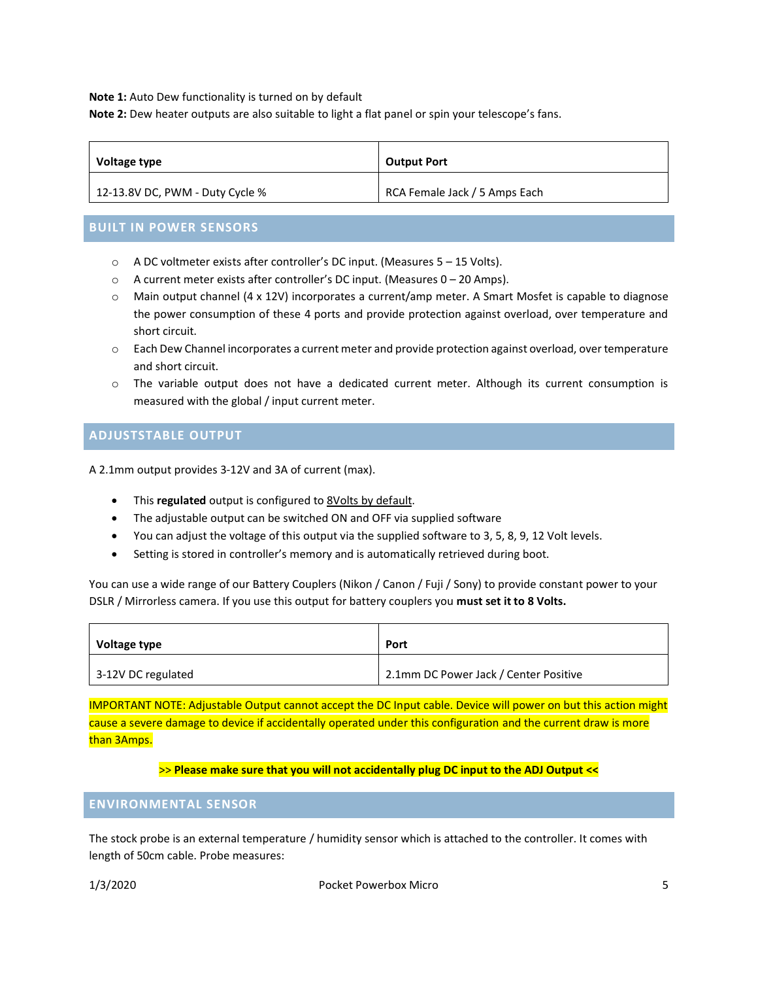**Note 1:** Auto Dew functionality is turned on by default

**Note 2:** Dew heater outputs are also suitable to light a flat panel or spin your telescope's fans.

| Voltage type                    | <b>Output Port</b>            |  |
|---------------------------------|-------------------------------|--|
| 12-13.8V DC, PWM - Duty Cycle % | RCA Female Jack / 5 Amps Each |  |

#### **BUILT IN POWER SENSORS**

- o A DC voltmeter exists after controller's DC input. (Measures 5 15 Volts).
- o A current meter exists after controller's DC input. (Measures 0 20 Amps).
- o Main output channel (4 x 12V) incorporates a current/amp meter. A Smart Mosfet is capable to diagnose the power consumption of these 4 ports and provide protection against overload, over temperature and short circuit.
- o Each Dew Channel incorporates a current meter and provide protection against overload, over temperature and short circuit.
- o The variable output does not have a dedicated current meter. Although its current consumption is measured with the global / input current meter.

#### **ADJUSTSTABLE OUTPUT**

A 2.1mm output provides 3-12V and 3A of current (max).

- This **regulated** output is configured to 8Volts by default.
- The adjustable output can be switched ON and OFF via supplied software
- You can adjust the voltage of this output via the supplied software to 3, 5, 8, 9, 12 Volt levels.
- Setting is stored in controller's memory and is automatically retrieved during boot.

You can use a wide range of our Battery Couplers (Nikon / Canon / Fuji / Sony) to provide constant power to your DSLR / Mirrorless camera. If you use this output for battery couplers you **must set it to 8 Volts.**

| Voltage type       | Port                                  |  |
|--------------------|---------------------------------------|--|
| 3-12V DC regulated | 2.1mm DC Power Jack / Center Positive |  |

IMPORTANT NOTE: Adjustable Output cannot accept the DC Input cable. Device will power on but this action might cause a severe damage to device if accidentally operated under this configuration and the current draw is more than 3Amps.

#### >> **Please make sure that you will not accidentally plug DC input to the ADJ Output <<**

#### **ENVIRONMENTAL SENSOR**

The stock probe is an external temperature / humidity sensor which is attached to the controller. It comes with length of 50cm cable. Probe measures: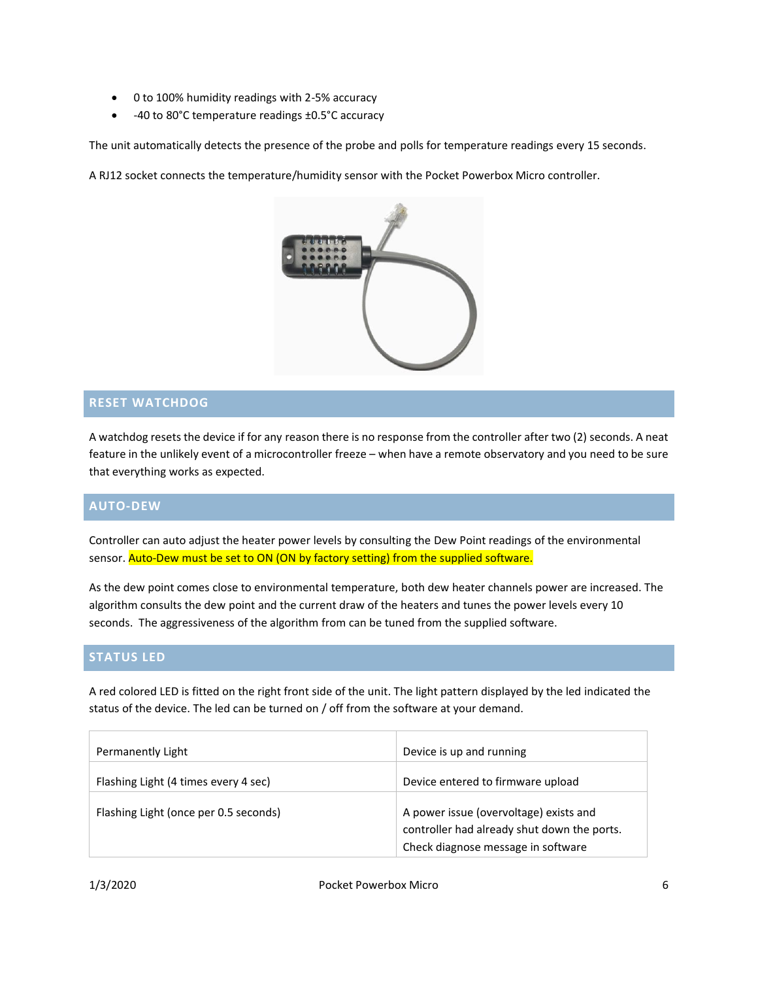- 0 to 100% humidity readings with 2-5% accuracy
- -40 to 80°C temperature readings ±0.5°C accuracy

The unit automatically detects the presence of the probe and polls for temperature readings every 15 seconds.

A RJ12 socket connects the temperature/humidity sensor with the Pocket Powerbox Micro controller.



#### **RESET WATCHDOG**

A watchdog resets the device if for any reason there is no response from the controller after two (2) seconds. A neat feature in the unlikely event of a microcontroller freeze – when have a remote observatory and you need to be sure that everything works as expected.

#### **AUTO-DEW**

Controller can auto adjust the heater power levels by consulting the Dew Point readings of the environmental sensor. Auto-Dew must be set to ON (ON by factory setting) from the supplied software.

As the dew point comes close to environmental temperature, both dew heater channels power are increased. The algorithm consults the dew point and the current draw of the heaters and tunes the power levels every 10 seconds. The aggressiveness of the algorithm from can be tuned from the supplied software.

#### **STATUS LED**

A red colored LED is fitted on the right front side of the unit. The light pattern displayed by the led indicated the status of the device. The led can be turned on / off from the software at your demand.

| Permanently Light                     | Device is up and running                                                              |
|---------------------------------------|---------------------------------------------------------------------------------------|
| Flashing Light (4 times every 4 sec)  | Device entered to firmware upload                                                     |
| Flashing Light (once per 0.5 seconds) | A power issue (overvoltage) exists and<br>controller had already shut down the ports. |
|                                       | Check diagnose message in software                                                    |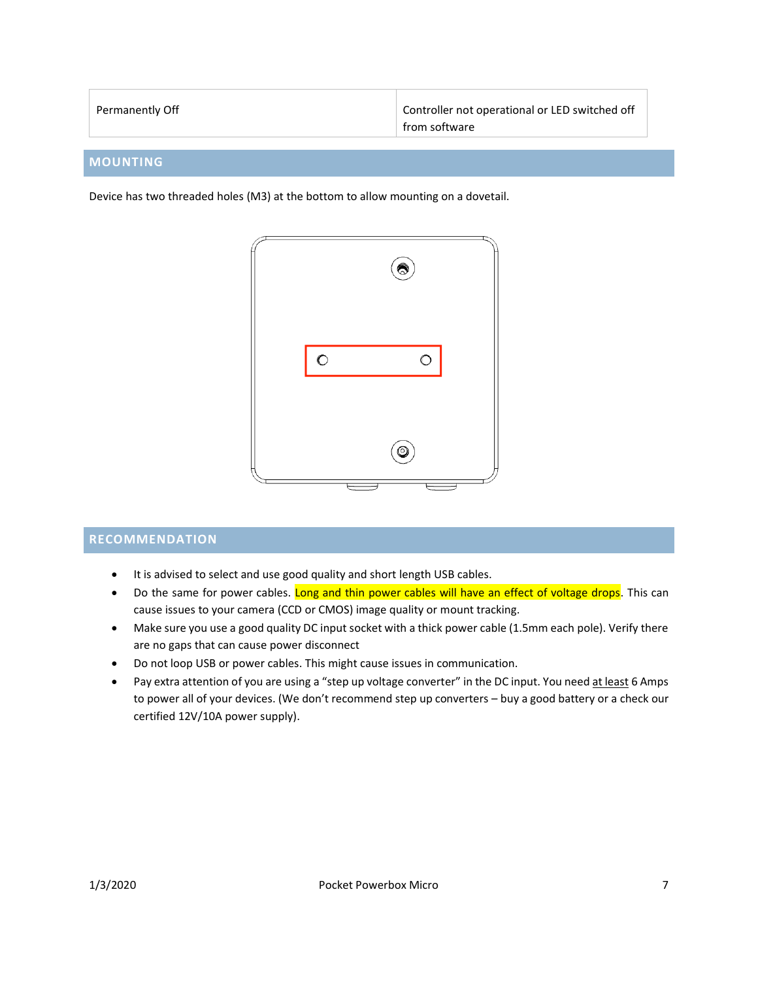| Permanently Off | Controller not operational or LED switched off |
|-----------------|------------------------------------------------|
|                 | from software                                  |

#### **MOUNTING**

Device has two threaded holes (M3) at the bottom to allow mounting on a dovetail.



#### **RECOMMENDATION**

- It is advised to select and use good quality and short length USB cables.
- Do the same for power cables. Long and thin power cables will have an effect of voltage drops. This can cause issues to your camera (CCD or CMOS) image quality or mount tracking.
- Make sure you use a good quality DC input socket with a thick power cable (1.5mm each pole). Verify there are no gaps that can cause power disconnect
- Do not loop USB or power cables. This might cause issues in communication.
- Pay extra attention of you are using a "step up voltage converter" in the DC input. You need at least 6 Amps to power all of your devices. (We don't recommend step up converters – buy a good battery or a check our certified 12V/10A power supply).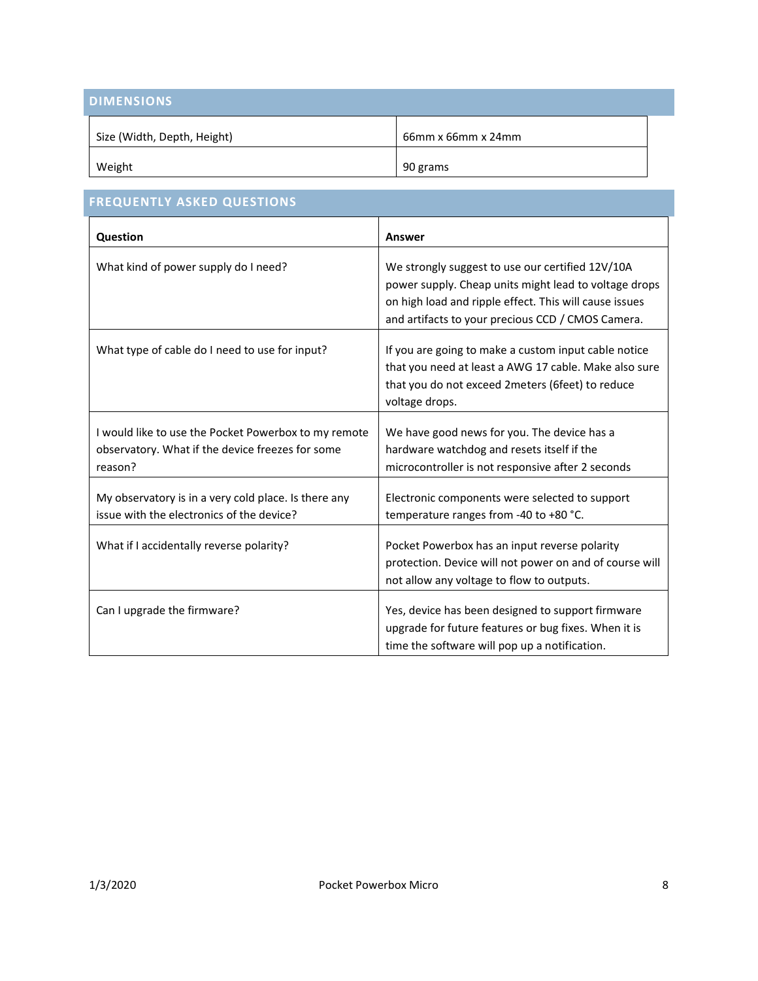| <b>DIMENSIONS</b>           |                    |  |
|-----------------------------|--------------------|--|
| Size (Width, Depth, Height) | 66mm x 66mm x 24mm |  |
| Weight                      | 90 grams           |  |

| <b>FREQUENTLY ASKED QUESTIONS</b>                                                                                   |                                                                                                                                                                                                                          |  |
|---------------------------------------------------------------------------------------------------------------------|--------------------------------------------------------------------------------------------------------------------------------------------------------------------------------------------------------------------------|--|
| Question                                                                                                            | Answer                                                                                                                                                                                                                   |  |
| What kind of power supply do I need?                                                                                | We strongly suggest to use our certified 12V/10A<br>power supply. Cheap units might lead to voltage drops<br>on high load and ripple effect. This will cause issues<br>and artifacts to your precious CCD / CMOS Camera. |  |
| What type of cable do I need to use for input?                                                                      | If you are going to make a custom input cable notice<br>that you need at least a AWG 17 cable. Make also sure<br>that you do not exceed 2meters (6feet) to reduce<br>voltage drops.                                      |  |
| I would like to use the Pocket Powerbox to my remote<br>observatory. What if the device freezes for some<br>reason? | We have good news for you. The device has a<br>hardware watchdog and resets itself if the<br>microcontroller is not responsive after 2 seconds                                                                           |  |
| My observatory is in a very cold place. Is there any<br>issue with the electronics of the device?                   | Electronic components were selected to support<br>temperature ranges from -40 to +80 °C.                                                                                                                                 |  |
| What if I accidentally reverse polarity?                                                                            | Pocket Powerbox has an input reverse polarity<br>protection. Device will not power on and of course will<br>not allow any voltage to flow to outputs.                                                                    |  |
| Can I upgrade the firmware?                                                                                         | Yes, device has been designed to support firmware<br>upgrade for future features or bug fixes. When it is<br>time the software will pop up a notification.                                                               |  |